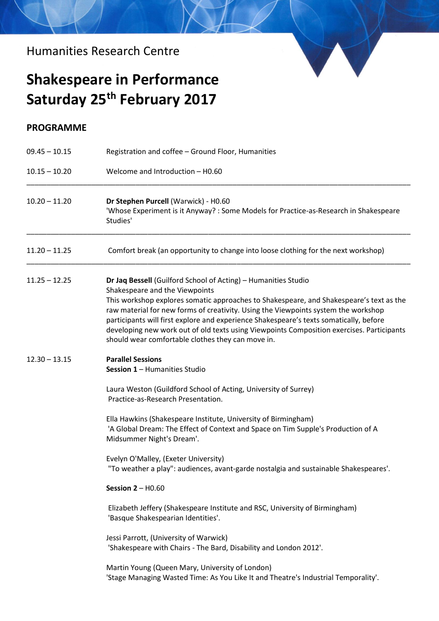Humanities Research Centre

## **Shakespeare in Performance Saturday 25th February 2017**

## **PROGRAMME**

| $09.45 - 10.15$<br>$10.15 - 10.20$ | Registration and coffee - Ground Floor, Humanities<br>Welcome and Introduction - H0.60                                                                                                                                                                                                                                                                                                                                                                                                                                        |
|------------------------------------|-------------------------------------------------------------------------------------------------------------------------------------------------------------------------------------------------------------------------------------------------------------------------------------------------------------------------------------------------------------------------------------------------------------------------------------------------------------------------------------------------------------------------------|
|                                    |                                                                                                                                                                                                                                                                                                                                                                                                                                                                                                                               |
| $11.20 - 11.25$                    | Comfort break (an opportunity to change into loose clothing for the next workshop)                                                                                                                                                                                                                                                                                                                                                                                                                                            |
| $11.25 - 12.25$                    | Dr Jaq Bessell (Guilford School of Acting) - Humanities Studio<br>Shakespeare and the Viewpoints<br>This workshop explores somatic approaches to Shakespeare, and Shakespeare's text as the<br>raw material for new forms of creativity. Using the Viewpoints system the workshop<br>participants will first explore and experience Shakespeare's texts somatically, before<br>developing new work out of old texts using Viewpoints Composition exercises. Participants<br>should wear comfortable clothes they can move in. |
| $12.30 - 13.15$                    | <b>Parallel Sessions</b><br>Session 1 - Humanities Studio<br>Laura Weston (Guildford School of Acting, University of Surrey)<br>Practice-as-Research Presentation.<br>Ella Hawkins (Shakespeare Institute, University of Birmingham)                                                                                                                                                                                                                                                                                          |
|                                    | 'A Global Dream: The Effect of Context and Space on Tim Supple's Production of A<br>Midsummer Night's Dream'.<br>Evelyn O'Malley, (Exeter University)<br>"To weather a play": audiences, avant-garde nostalgia and sustainable Shakespeares'.                                                                                                                                                                                                                                                                                 |
|                                    | Session $2 - H0.60$                                                                                                                                                                                                                                                                                                                                                                                                                                                                                                           |
|                                    | Elizabeth Jeffery (Shakespeare Institute and RSC, University of Birmingham)<br>'Basque Shakespearian Identities'.                                                                                                                                                                                                                                                                                                                                                                                                             |
|                                    | Jessi Parrott, (University of Warwick)<br>'Shakespeare with Chairs - The Bard, Disability and London 2012'.                                                                                                                                                                                                                                                                                                                                                                                                                   |
|                                    | Martin Young (Queen Mary, University of London)<br>'Stage Managing Wasted Time: As You Like It and Theatre's Industrial Temporality'.                                                                                                                                                                                                                                                                                                                                                                                         |